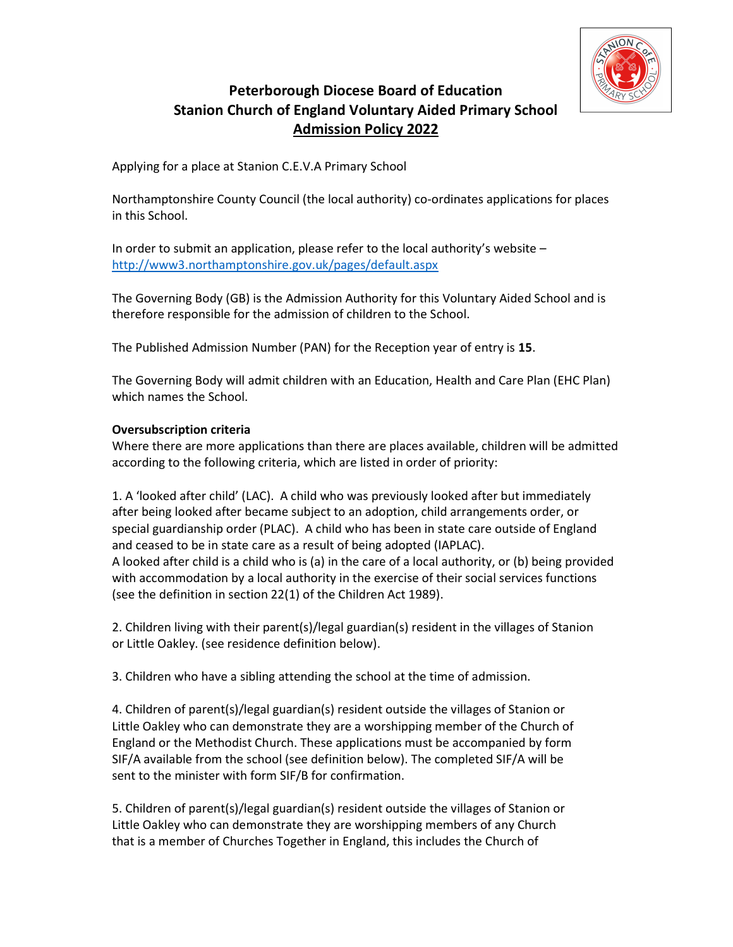

# Peterborough Diocese Board of Education Stanion Church of England Voluntary Aided Primary School Admission Policy 2022

Applying for a place at Stanion C.E.V.A Primary School

Northamptonshire County Council (the local authority) co-ordinates applications for places in this School.

In order to submit an application, please refer to the local authority's website – http://www3.northamptonshire.gov.uk/pages/default.aspx

The Governing Body (GB) is the Admission Authority for this Voluntary Aided School and is therefore responsible for the admission of children to the School.

The Published Admission Number (PAN) for the Reception year of entry is 15.

The Governing Body will admit children with an Education, Health and Care Plan (EHC Plan) which names the School.

# Oversubscription criteria

Where there are more applications than there are places available, children will be admitted according to the following criteria, which are listed in order of priority:

1. A 'looked after child' (LAC). A child who was previously looked after but immediately after being looked after became subject to an adoption, child arrangements order, or special guardianship order (PLAC). A child who has been in state care outside of England and ceased to be in state care as a result of being adopted (IAPLAC). A looked after child is a child who is (a) in the care of a local authority, or (b) being provided with accommodation by a local authority in the exercise of their social services functions (see the definition in section 22(1) of the Children Act 1989).

2. Children living with their parent(s)/legal guardian(s) resident in the villages of Stanion or Little Oakley. (see residence definition below).

3. Children who have a sibling attending the school at the time of admission.

4. Children of parent(s)/legal guardian(s) resident outside the villages of Stanion or Little Oakley who can demonstrate they are a worshipping member of the Church of England or the Methodist Church. These applications must be accompanied by form SIF/A available from the school (see definition below). The completed SIF/A will be sent to the minister with form SIF/B for confirmation.

5. Children of parent(s)/legal guardian(s) resident outside the villages of Stanion or Little Oakley who can demonstrate they are worshipping members of any Church that is a member of Churches Together in England, this includes the Church of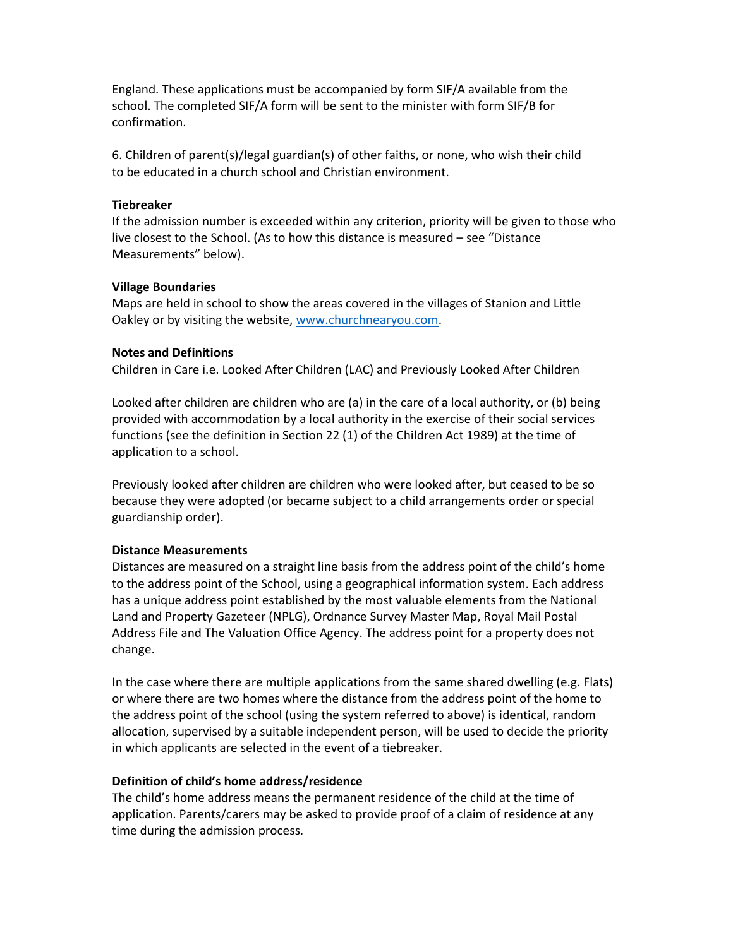England. These applications must be accompanied by form SIF/A available from the school. The completed SIF/A form will be sent to the minister with form SIF/B for confirmation.

6. Children of parent(s)/legal guardian(s) of other faiths, or none, who wish their child to be educated in a church school and Christian environment.

### **Tiebreaker**

If the admission number is exceeded within any criterion, priority will be given to those who live closest to the School. (As to how this distance is measured – see "Distance Measurements" below).

### Village Boundaries

Maps are held in school to show the areas covered in the villages of Stanion and Little Oakley or by visiting the website, www.churchnearyou.com.

### Notes and Definitions

Children in Care i.e. Looked After Children (LAC) and Previously Looked After Children

Looked after children are children who are (a) in the care of a local authority, or (b) being provided with accommodation by a local authority in the exercise of their social services functions (see the definition in Section 22 (1) of the Children Act 1989) at the time of application to a school.

Previously looked after children are children who were looked after, but ceased to be so because they were adopted (or became subject to a child arrangements order or special guardianship order).

#### Distance Measurements

Distances are measured on a straight line basis from the address point of the child's home to the address point of the School, using a geographical information system. Each address has a unique address point established by the most valuable elements from the National Land and Property Gazeteer (NPLG), Ordnance Survey Master Map, Royal Mail Postal Address File and The Valuation Office Agency. The address point for a property does not change.

In the case where there are multiple applications from the same shared dwelling (e.g. Flats) or where there are two homes where the distance from the address point of the home to the address point of the school (using the system referred to above) is identical, random allocation, supervised by a suitable independent person, will be used to decide the priority in which applicants are selected in the event of a tiebreaker.

#### Definition of child's home address/residence

The child's home address means the permanent residence of the child at the time of application. Parents/carers may be asked to provide proof of a claim of residence at any time during the admission process.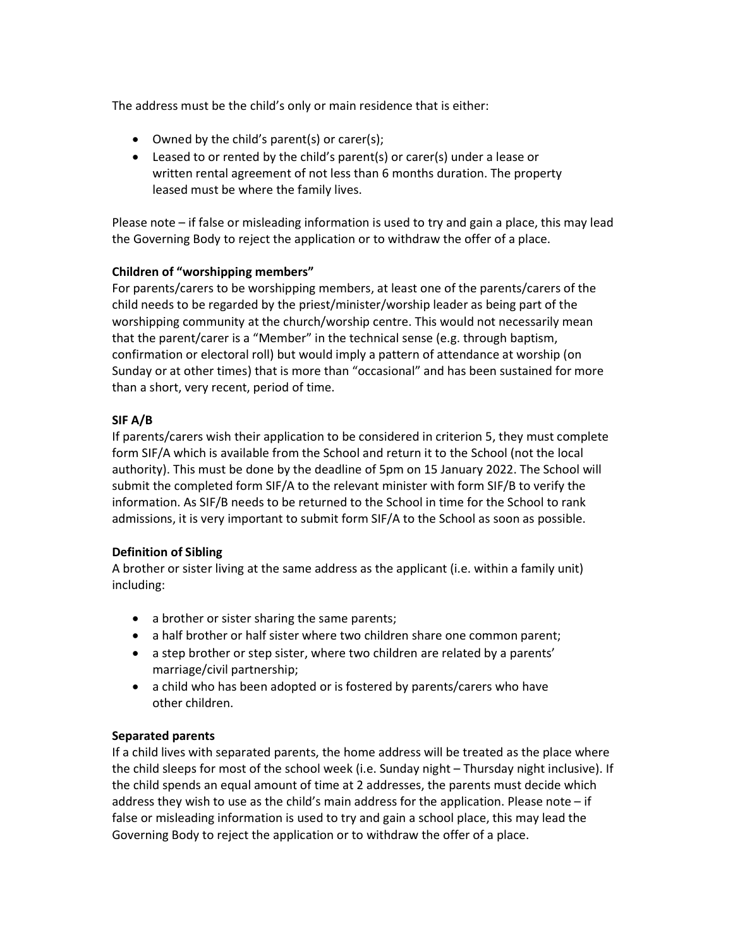The address must be the child's only or main residence that is either:

- Owned by the child's parent(s) or carer(s);
- Leased to or rented by the child's parent(s) or carer(s) under a lease or written rental agreement of not less than 6 months duration. The property leased must be where the family lives.

Please note – if false or misleading information is used to try and gain a place, this may lead the Governing Body to reject the application or to withdraw the offer of a place.

# Children of "worshipping members"

For parents/carers to be worshipping members, at least one of the parents/carers of the child needs to be regarded by the priest/minister/worship leader as being part of the worshipping community at the church/worship centre. This would not necessarily mean that the parent/carer is a "Member" in the technical sense (e.g. through baptism, confirmation or electoral roll) but would imply a pattern of attendance at worship (on Sunday or at other times) that is more than "occasional" and has been sustained for more than a short, very recent, period of time.

# SIF A/B

If parents/carers wish their application to be considered in criterion 5, they must complete form SIF/A which is available from the School and return it to the School (not the local authority). This must be done by the deadline of 5pm on 15 January 2022. The School will submit the completed form SIF/A to the relevant minister with form SIF/B to verify the information. As SIF/B needs to be returned to the School in time for the School to rank admissions, it is very important to submit form SIF/A to the School as soon as possible.

### Definition of Sibling

A brother or sister living at the same address as the applicant (i.e. within a family unit) including:

- a brother or sister sharing the same parents;
- a half brother or half sister where two children share one common parent;
- a step brother or step sister, where two children are related by a parents' marriage/civil partnership;
- a child who has been adopted or is fostered by parents/carers who have other children.

### Separated parents

If a child lives with separated parents, the home address will be treated as the place where the child sleeps for most of the school week (i.e. Sunday night – Thursday night inclusive). If the child spends an equal amount of time at 2 addresses, the parents must decide which address they wish to use as the child's main address for the application. Please note  $-$  if false or misleading information is used to try and gain a school place, this may lead the Governing Body to reject the application or to withdraw the offer of a place.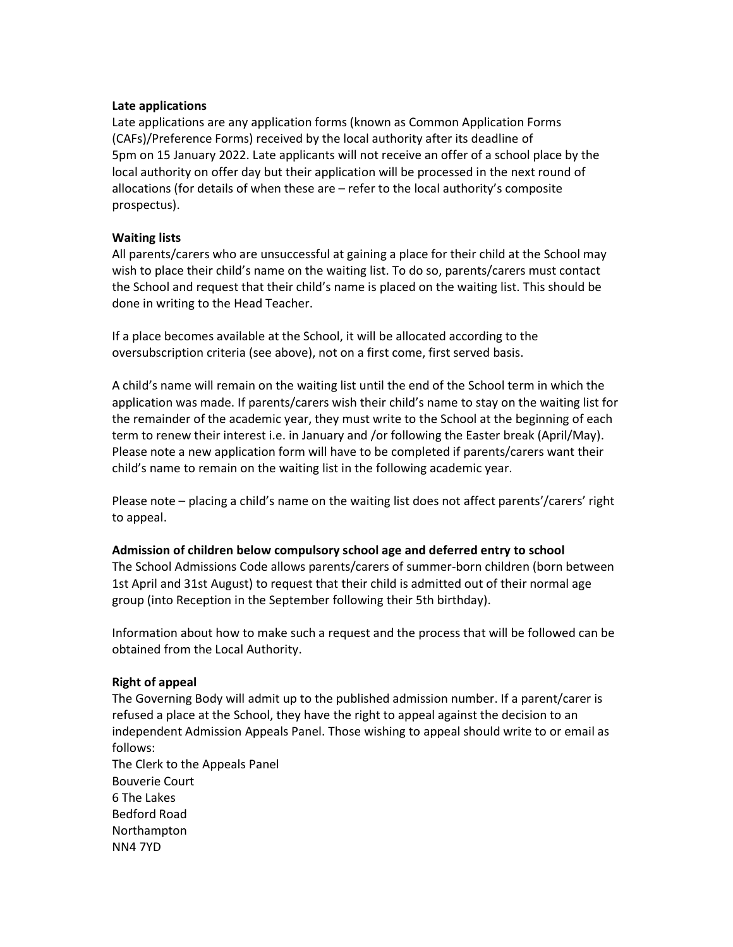### Late applications

Late applications are any application forms (known as Common Application Forms (CAFs)/Preference Forms) received by the local authority after its deadline of 5pm on 15 January 2022. Late applicants will not receive an offer of a school place by the local authority on offer day but their application will be processed in the next round of allocations (for details of when these are – refer to the local authority's composite prospectus).

### Waiting lists

All parents/carers who are unsuccessful at gaining a place for their child at the School may wish to place their child's name on the waiting list. To do so, parents/carers must contact the School and request that their child's name is placed on the waiting list. This should be done in writing to the Head Teacher.

If a place becomes available at the School, it will be allocated according to the oversubscription criteria (see above), not on a first come, first served basis.

A child's name will remain on the waiting list until the end of the School term in which the application was made. If parents/carers wish their child's name to stay on the waiting list for the remainder of the academic year, they must write to the School at the beginning of each term to renew their interest i.e. in January and /or following the Easter break (April/May). Please note a new application form will have to be completed if parents/carers want their child's name to remain on the waiting list in the following academic year.

Please note – placing a child's name on the waiting list does not affect parents'/carers' right to appeal.

#### Admission of children below compulsory school age and deferred entry to school

The School Admissions Code allows parents/carers of summer-born children (born between 1st April and 31st August) to request that their child is admitted out of their normal age group (into Reception in the September following their 5th birthday).

Information about how to make such a request and the process that will be followed can be obtained from the Local Authority.

### Right of appeal

The Governing Body will admit up to the published admission number. If a parent/carer is refused a place at the School, they have the right to appeal against the decision to an independent Admission Appeals Panel. Those wishing to appeal should write to or email as follows: The Clerk to the Appeals Panel

Bouverie Court 6 The Lakes Bedford Road Northampton NN4 7YD